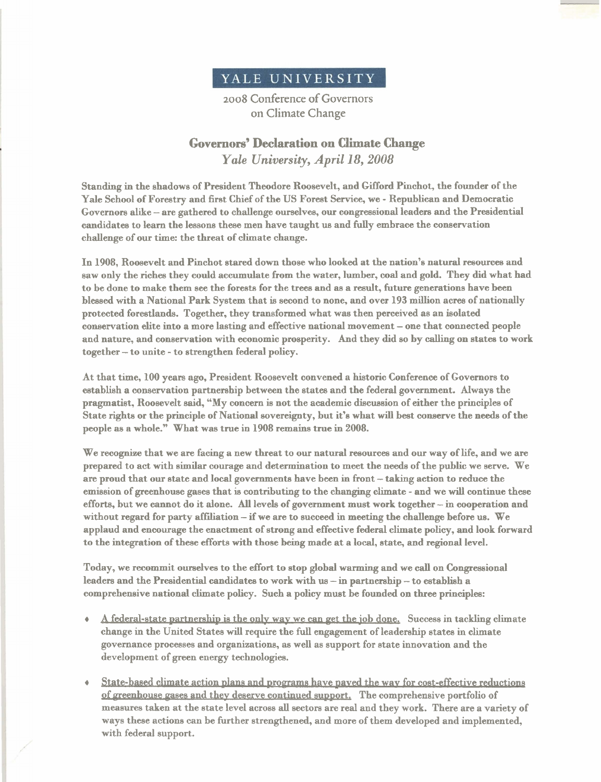

2008 Conference of Governors on Climate Change

## **Governors' Declaration** *on* **Climate** *Change Yale University, April 18,2008*

Standing in the shadows of President Theodore Roosevelt, and Gifford Pinchot, the founder of the Yale School of Forestry and first Chief of the US Forest Service, we - Republican and Democratic Governors alike - are gathered to challenge ourselves, our congressional leaders and the Presidential candidates to learn the lessons these men have taught us and fully embrace the conservation challenge of our time: the threat of climate change.

In **1908,** Roosevelt and Pinchot stared down those who looked at the nation's natural resources and saw only the riches they could accumulate from the water, lumber, coal and gold. They did what had to be done to make them see the forests for the trees and as a result, future generations have been blessed with a National Park System that is second to none, and over **193** million acres of nationally protected forestlands. Together, they transformed what was then perceived as an isolated conservation elite into a more lasting and effective national movement - one that connected people and nature, and conservation with economic prosperity. And they did so by calling on states **to** work together - to unite - to strengthen federal policy.

At that time, **100** years ago, President Roosevelt convened a historic Conference of Governors to establish a conservation partnership between the states and the federal government. Always the pragmatist, Roosevelt said, "My concern is not the academic discussion of either the principles of State rights or the principle of National sovereignty, but it's what will **best** conserve the needs of the people as a whole." What was true in **1908** remains true in 2008.

We recognize that we are facing a new threat to our natural resources and our way of life, and we are prepared to act with similar courage and determination to meet the needs of the public we serve. We are proud that our state and local governments have been in front - taking action to reduce the emission of greenhouse gases that is contributing to the changing climate - and we will continue these efforts, but we cannot do it alone. **AU** levels of government must work together - in cooperation and without regard for party affiliation – if we are to succeed in meeting the challenge before us. We applaud and encourage the enactment of strong and effective federal climate policy, and look forward to the integration of these efforts with those being made at a local, state, and regional level.

Today, we recommit ourselves to the effort to stop global warming and we call on Congressional leaders and the Presidential candidates to work with us - in partnership - to establish a comprehensive national climate policy. Such a policy must be founded on three principles:

- $\bullet$  A federal-state partnership is the only wav we can get the job done. Success in tackling climate change in the United States will require the full engagement of leadership states in climate governance processes and organizations, as well as support for state innovation and the development of green energy technologies.
- State-based climate action plans and programs have payed the wav for cost-effective reductions of greenhouse gases and they deserve continued support. The comprehensive portfolio of measures taken at the state level across all sectors are real and they work. There are a variety of ways these actions can be further strengthened, and more of them developed and implemented, with federal support.